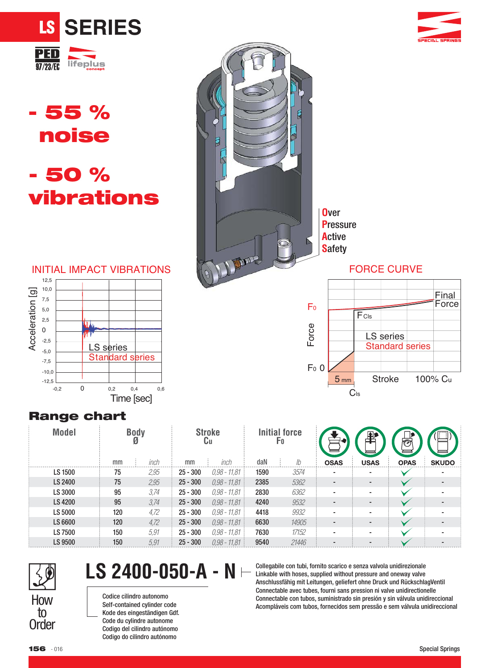

# - 50 % vibrations - 55 % noise

#### INITIAL IMPACT VIBRATIONS





### Range chart

| <b>Model</b>   |     | <b>Body</b><br>ø |            | <b>Stroke</b><br>Cu |      | <b>Initial force</b><br>Fo |             | 耻                        | लि          |              |
|----------------|-----|------------------|------------|---------------------|------|----------------------------|-------------|--------------------------|-------------|--------------|
|                | mm  | inch             | mm         | inch                | daN  | lb                         | <b>OSAS</b> | <b>USAS</b>              | <b>OPAS</b> | <b>SKUDO</b> |
| LS 1500        | 75  | 2,95             | $25 - 300$ | $0,98 - 11,81$      | 1590 | 3574                       |             |                          |             |              |
| LS 2400        | 75  | 2,95             | $25 - 300$ | $0,98 - 11,81$      | 2385 | 5362                       |             |                          |             |              |
| LS 3000        | 95  | 3,74             | $25 - 300$ | $0,98 - 11,81$      | 2830 | 6362                       |             |                          |             |              |
| <b>LS 4200</b> | 95  | 3,74             | $25 - 300$ | $0,98 - 11,81$      | 4240 | 9532                       |             | $\overline{\phantom{0}}$ |             |              |
| LS 5000        | 120 | 4,72             | $25 - 300$ | $0,98 - 11,81$      | 4418 | 9932                       |             | -                        |             |              |
| LS 6600        | 120 | 4,72             | $25 - 300$ | $0.98 - 11.81$      | 6630 | 14905                      |             |                          |             |              |
| LS 7500        | 150 | 5,91             | $25 - 300$ | $0,98 - 11,81$      | 7630 | 17152                      |             |                          |             |              |
| LS 9500        | 150 | 5,91             | $25 - 300$ | $0.98 - 11.81$      | 9540 | 21446                      |             |                          |             |              |



to **Order** 

## **LS 2400-050-A - N**

Codice cilindro autonomo Self-contained cylinder code Kode des eingeständigen Gdf. Code du cylindre autonome Codigo del cilindro autónomo Codigo do cilindro autónomo

Collegabile con tubi, fornito scarico e senza valvola unidirezionale Linkable with hoses, supplied without pressure and oneway valve Anschlussfähig mit Leitungen, geliefert ohne Druck und RückschlagVentil Connectable avec tubes, fourni sans pression ni valve unidirectionelle Connectable con tubos, suministrado sin presión y sin válvula unidireccional Acompláve com provide cultural complétions of the compléte constable con tubos, suministrado sin presión y sin válvula unidireccional<br>Acompláveis com tubos, fornecidos sem pressão e sem válvula unidireccional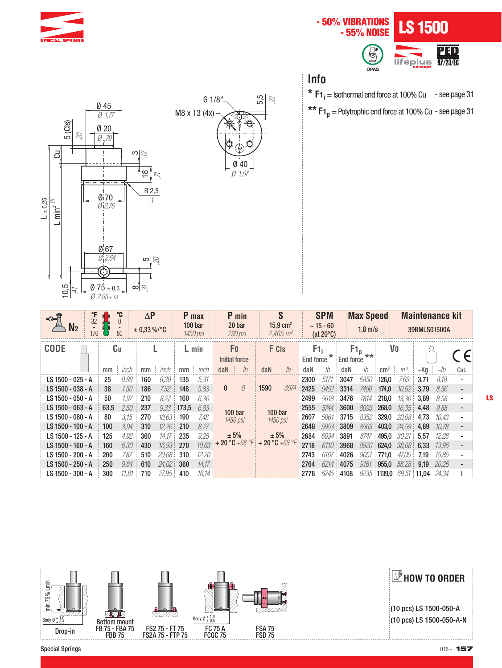

#### LS 1500 - 50% VIBRATIONS - 55% NOISE <u>PED</u>  $\frac{1}{\sqrt{2}}$ lifeplus 97/23/EC

### **Info**

**\*\* F1p** <sup>=</sup> Polytrophic end force at 100% Cu - see page 31  $*$  **F1**<sub>i</sub> = Isothermal end force at 100% Cu - see page 31





| °F<br>$-0$<br>32<br>N <sub>2</sub><br>176 | lillini | °C<br>80 | $\Delta P$<br>$\pm$ 0,33 %/°C |       |              | P max<br>100 bar<br>1450 psi | P min<br>20 bar<br>290 psi      | S<br>$15.9 \text{ cm}^2$<br>$2,465$ in <sup>2</sup> |      | <b>SPM</b><br>$~15 - 60$<br>(at $20^{\circ}$ C) |           |      | <b>Max Speed</b><br><b>Maintenance kit</b><br>$1.8$ m/s<br>39BMLS01500A |                   |              |           |      |  |
|-------------------------------------------|---------|----------|-------------------------------|-------|--------------|------------------------------|---------------------------------|-----------------------------------------------------|------|-------------------------------------------------|-----------|------|-------------------------------------------------------------------------|-------------------|--------------|-----------|------|--|
| <b>CODE</b>                               | Cu      |          |                               |       |              | $L$ min                      | F <sub>0</sub><br>Initial force | F C <sub>Is</sub><br>F1,<br>End force               |      | <b>End force</b>                                | $F1_p$    |      | Vo                                                                      |                   |              |           |      |  |
|                                           | mm      | inch     | mm                            | inch  | mm           | inch                         | $\mathcal{L}$<br>daN            | daN<br>lb                                           | daN  | lb.                                             | daN       | lb   | $\rm cm^3$                                                              | $in^3$            | ~Kg          | $\sim$ Ib | Cat. |  |
| LS 1500 - 025 - A                         | 25      | 0.98     | 160                           | 6,30  | 135          | 5,31                         |                                 |                                                     | 2300 | 5171                                            | 3047      | 6850 | 126.0                                                                   | 7.69              | 3.71         | 8.18      |      |  |
| LS 1500 - 038 - A                         | 38      | 1.50     | 186                           | 7,32  | 148          | 5,83                         | $\theta$<br>$\mathbf{0}$        | 3574<br>1590                                        | 2425 | 5452                                            | 3314      | 7450 | 174.0                                                                   | 10.62 3.79        |              | 8.36      |      |  |
| LS 1500 - 050 - A                         | 50      | 1.97     | 210                           | 8.27  | 160          | 6,30                         |                                 |                                                     | 2499 |                                                 | 5618 3476 | 7814 | 218,0                                                                   | $13.30\,$ 3.89    |              | 8.58      |      |  |
| LS 1500 - 063 - A                         | 63.5    | 2.50     | 237                           |       | $9.33$ 173.5 | 6.83                         | 100 <sub>bar</sub>              | 100 <sub>bar</sub>                                  | 2555 | 5744                                            | 3600      | 8093 | 268.0                                                                   |                   | $16.35$ 4.48 | 9.88      |      |  |
| LS 1500 - 080 - A                         | 80      | 3.15     | 270                           | 10.63 | 190          | 7,48                         | 1450 psi                        | 1450 psi                                            | 2607 |                                                 | 5861 3715 |      | 8352 329.0                                                              | 20.08             | 4.73         | 10.43     |      |  |
| LS 1500 - 100 - A                         | 100     | 3.94     | 310                           | 12.20 | 210          | 8.27                         |                                 |                                                     | 2648 | 5953                                            | 3809      | 8563 | 403.0                                                                   | 24.59 4.89        |              | 10.78     |      |  |
| LS 1500 - 125 - A                         | 125     | 4.92     | 360                           | 14.17 | 235          | 9,25                         | ± 5%                            | ± 5%                                                | 2684 | 6034                                            | 3891      | 8747 | 495.0                                                                   | $30.21 \div 5.57$ |              | 12.28     |      |  |
| LS 1500 - 160 - A                         | 160     | 6.30     | 430                           | 16.93 | 270          | 10.63                        |                                 | + 20 °C +68 °F + 20 °C +68 °F                       | 2718 | 6110                                            | 3968      | 8920 | 624.0                                                                   | 38,08             | 6,33         | 13.96     |      |  |
| LS 1500 - 200 - A                         | 200     | 7.87     | 510                           | 20.08 | 310          | 12,20                        |                                 |                                                     | 2743 | 6167                                            | 4026      | 9051 | 771.0                                                                   | 47.05             | 7.19         | 15.85     |      |  |
| LS 1500 - 250 - A                         | 250     | 9.84     | 610                           | 24,02 | 360          | 14.17                        |                                 |                                                     | 2764 |                                                 | 6214 4075 | 9161 | 955,0                                                                   | 58.28             | 9,19         | 20,26     |      |  |
| LS 1500 - 300 - A                         | 300     |          | $11.81$ 710                   | 27.95 | 410          | 16.14                        |                                 |                                                     | 2778 |                                                 | 6245 4108 |      | 9235 1139,0                                                             |                   | 69.51 11.04  | 24.34     |      |  |

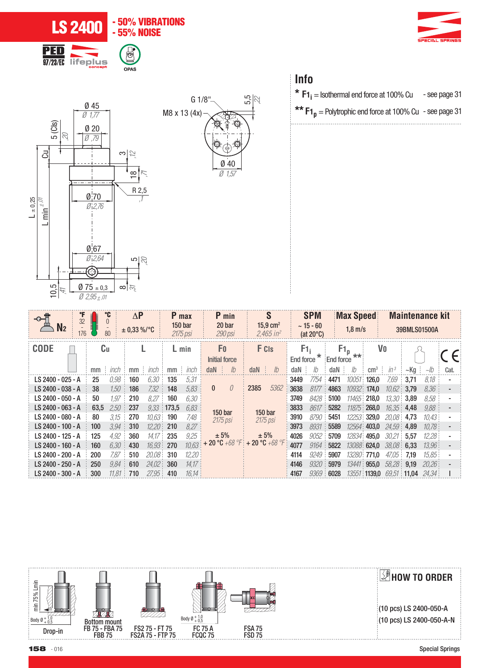





| * $F1_i$ = Isothermal end force at 100% Cu                 | - see page 31 |
|------------------------------------------------------------|---------------|
| ** $F1_n$ = Polytrophic end force at 100% Cu - see page 31 |               |





| $\rightarrow$<br>32<br>N <sub>2</sub><br>176 | °C<br>80                 | $\Delta P$<br>$\pm$ 0,33 %/ °C | P max<br>150 <sub>bar</sub><br>2175 psi | P min<br>20 bar<br>290 psi             | $15.9 \text{ cm}^2$<br>$2,465$ in <sup>2</sup> | <b>SPM</b><br>$~15 - 60$<br>(at $20^{\circ}$ C) | <b>Max Speed</b><br>$1.8$ m/s                     |                   | <b>Maintenance kit</b><br>39BMLS01500A |      |
|----------------------------------------------|--------------------------|--------------------------------|-----------------------------------------|----------------------------------------|------------------------------------------------|-------------------------------------------------|---------------------------------------------------|-------------------|----------------------------------------|------|
| <b>CODE</b>                                  | Cu                       |                                | $L$ min                                 | F <sub>0</sub><br><b>Initial force</b> | F C <sub>Is</sub>                              | F1,<br>End force                                | $F1_p$<br><b>End force</b>                        | Vo                |                                        |      |
|                                              | inch<br>mm               | inch<br>mm                     | inch<br>mm                              | daN<br>I <sub>b</sub>                  | $d$ aN $\vdots$<br>$\sqrt{b}$                  | daN<br>lb                                       | lb<br>daN<br>$\rm cm^3$                           | $in^3$            | ~Kq<br>$\sim$ ID                       | Cat. |
| LS 2400 - 025 - A                            | 0.98<br>25               | 6.30<br>160                    | 135<br>5.31                             |                                        |                                                | 3449<br>7754                                    | 10051<br>4471<br>126.0                            | 7.69              | 8.18<br>3.71                           |      |
| LS 2400 - 038 - A                            | 1.50<br>38               | 7.32<br>186                    | 5,83<br>148                             | $\bf{0}$<br>$\theta$                   | 5362<br>2385                                   | 8177<br>3638                                    | 10932 174.0<br>4863                               | $10.62 \div 3.79$ | 8.36                                   |      |
| LS 2400 - 050 - A                            | 1.97<br>50               | 8,27<br>210                    | 160<br>6,30                             |                                        |                                                | 8428<br>3749                                    | 5100<br>11465 218,0                               | $13.30 \div 3.89$ | 8.58                                   |      |
| LS 2400 - 063 - A                            | 2,50<br>63,5             | 9.33<br>237                    | 6,83<br>173,5                           | 150 <sub>bar</sub>                     | 150 bar                                        | 8617:<br>3833                                   | 11875 268,0<br>5282                               | $16.35$ 4.48      | 9.88                                   |      |
| LS 2400 - 080 - A                            | 3.15<br>80               | 10,63<br>270                   | 190<br>7,48                             | 2175 psi                               | 2175 psi                                       | 8790<br>3910                                    | 12253 329,0<br>5451                               | 20.08             | 4,73<br>10.43                          |      |
| LS 2400 - 100 - A                            | 3.94<br>100 <sup>°</sup> | 12.20<br>310                   | 210<br>8,27                             |                                        |                                                | 8931<br>3973                                    | 12564 403.0<br>5589                               | 24.59 4.89        | 10.78                                  |      |
| LS 2400 - 125 - A                            | 4.92<br>125              | 360<br>$14.17$ :               | 235<br>9.25                             | $± 5\%$                                | ± 5%                                           | 4026<br>9052:                                   | 12834 495.0<br>5709                               | 30.21             | 12.28<br>5,57                          |      |
| LS 2400 - 160 - A                            | 6.30<br>160              | 430                            | 10,63<br>16.93 270                      | $+ 20 °C + 68 °F + 20 °C + 68 °F$      |                                                | 4077<br>9164                                    | 13088 624.0<br>5822                               | 38.08 6.33        | 13.96                                  |      |
| LS 2400 - 200 - A                            | 7.87<br>200              | 20.08<br>510                   | 12,20<br>310                            |                                        |                                                | 9249<br>4114                                    | 13280 771.0<br>5907                               | 47.05             | 15.85<br>7,19                          |      |
| LS 2400 - 250 - A                            | 250<br>9.84              | 24.02<br>610                   | 360<br>14.17                            |                                        |                                                | 9320<br>4146                                    | 5979<br>13441 955,0                               | 58,28 9,19        | 20.26                                  |      |
| LS 2400 - 300 - A                            | 300                      | $11.81$ 710                    | 27.95 410<br>16.14                      |                                        |                                                | 4167                                            | $9369 \, \bmod{6028}$<br>13551 1139,0 69.51 11,04 |                   | 24.34                                  |      |



158 - 016 Special Springs Special Springs Special Springs Special Springs Special Springs Special Springs Special Springs Special Springs Special Springs Special Springs Special Springs Special Springs Special Springs Spec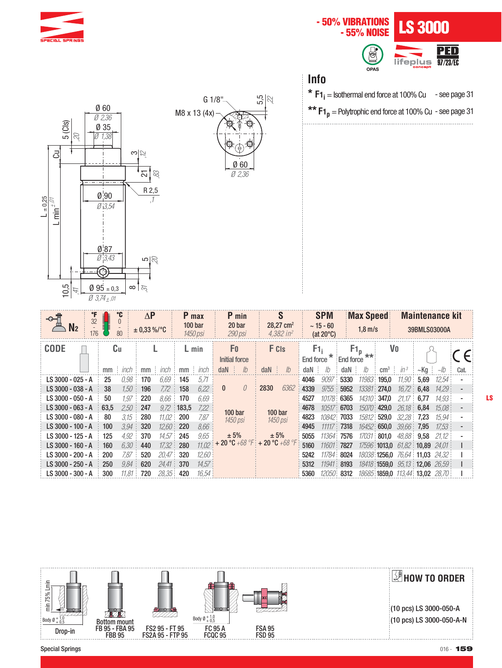

#### - 50% VIBRATIONS LS 3000 - 55% NOISE <u>PED</u> r<br>10 lifeplus 97/23/EC

### **Info**

- $*$  **F1**<sub>i</sub> = Isothermal end force at 100% Cu see page 31
- **\*\* F1p** <sup>=</sup> Polytrophic end force at 100% Cu see page 31





| °F<br>$\rightarrow$<br>32<br>N <sub>2</sub><br>176 |      | °C<br>80 | $\Delta P$<br>$± 0,33\%$ / °C |           |              | P max<br>100 <sub>bar</sub><br>1450 psi | P min<br>20 bar<br>290 psi        | S<br>$28.27 \text{ cm}^2$<br>$4,382$ in <sup>2</sup> |           | <b>SPM</b><br>$~15 - 60$<br>(at $20^{\circ}$ C) |            |        | <b>Max Speed</b><br>$1.8$ m/s          | <b>Maintenance kit</b><br>39BMLS03000A |                   |                                |      |
|----------------------------------------------------|------|----------|-------------------------------|-----------|--------------|-----------------------------------------|-----------------------------------|------------------------------------------------------|-----------|-------------------------------------------------|------------|--------|----------------------------------------|----------------------------------------|-------------------|--------------------------------|------|
| <b>CODE</b>                                        | Сu   |          |                               |           |              | $L$ min                                 | F <sub>0</sub><br>Initial force   | F C <sub>IS</sub>                                    | End force | F1,                                             | End force  | $F1_p$ |                                        | Vo                                     |                   |                                |      |
|                                                    | mm   | inch     | mm                            | inch      | mm           | inch                                    | daN<br>lb                         | daN<br>lh                                            | daN       | lb                                              | daN        | lb     | $\rm cm^3$                             | $in^3$                                 | ~Kg               | $\sim$ Ib                      | Cat. |
| LS 3000 - 025 - A                                  | 25   | 0,98     | 170                           | 6,69      | 145          | 5,71                                    |                                   |                                                      | 4046      | 9097                                            | 5330       | 11983  | 195,0                                  | $11,90$ 5,69                           |                   | 12.54                          |      |
| LS 3000 - 038 - A                                  | 38   | 1.50     | 196                           | 7.72      | 158          | 6,22                                    | 0<br>$\bf{0}$                     | 6362<br>2830                                         | 4339      | 9755                                            | 5952       | 13381  | 274.0                                  |                                        | $16.72 \div 6.48$ | 14.29                          |      |
| LS 3000 - 050 - A                                  | 50   | 1.97     | 220                           | 8.66      | 170          | 6.69                                    |                                   |                                                      | 4527      |                                                 | 10178 6365 |        | 14310 347,0                            | $21.17 \div 6.77$                      |                   | 14.93                          |      |
| LS 3000 - 063 - A                                  | 63.5 | 2.50     | 247                           |           | $9.72$ 183.5 | 7,22                                    | 100 <sub>bar</sub>                | 100 <sub>bar</sub>                                   | 4678      |                                                 | 10517 6703 |        | 15070 429,0                            | $26.18$ 6.84                           |                   | 15.08                          |      |
| LS 3000 - 080 - A                                  | 80   | 3.15     | 280                           | 11.02     | 200          | 7,87                                    | 1450 psi                          | 1450 psi                                             | 4823      |                                                 | 10842 7033 |        | 15812 529,0                            | 32.28 7.23                             |                   | 15.94                          |      |
| LS 3000 - 100 - A                                  | 100  | 3.94     | 320                           | 12.60 220 |              | 8.66                                    |                                   |                                                      | 4945      |                                                 | 11117 7318 |        | 16452 650.0                            | 39.66 7.95                             |                   | 17.53                          |      |
| LS 3000 - 125 - A                                  | 125  | 4.92     | 370                           | 14.57 245 |              | 9.65                                    | ± 5%                              | ± 5%                                                 | 5055      |                                                 | 11364 7576 |        | 17031 801,0                            | 48.88 9.58                             |                   | 21.12                          |      |
| LS 3000 - 160 - A                                  | 160  | 6.30     | 440                           |           | 17,32 280    | 11,02                                   | $+ 20 °C + 68 °F + 20 °C + 68 °F$ |                                                      | 5160      | 11601                                           | 7827       |        | 17596 1013,0 61,82 10,89               |                                        |                   | 24.01                          |      |
| LS 3000 - 200 - A                                  | 200  | 7.87     | 520                           | 20.47     | 320          | 12,60                                   |                                   |                                                      | 5242      | 11784 :                                         | 8024       |        | 18038 <b>1256.0</b> 76.64 <b>11.03</b> |                                        |                   | -24.32 i                       |      |
| LS 3000 - 250 - A                                  | 250  | 9.84     | 620                           | 24.41     | 370          | 14.57                                   |                                   |                                                      | 5312      |                                                 | 11941 8193 |        |                                        |                                        |                   | 18418 1559,0 95,13 12,06 26,59 |      |
| LS 3000 - 300 - A                                  | 300  | 11.81    | 720                           | 28,35 420 |              | 16.54                                   |                                   |                                                      | 5360      |                                                 | 12050 8312 |        | 18685 1859,0 113,44 13,02 28,70        |                                        |                   |                                |      |

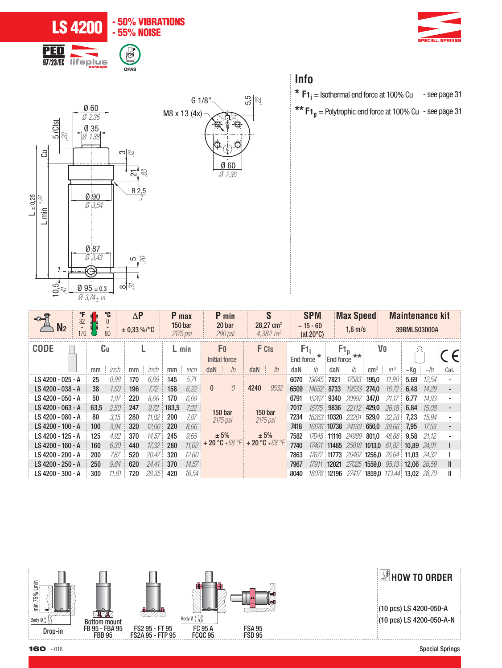





| * $F1_i$ = Isothermal end force at 100% Cu                 | - see page 31 |
|------------------------------------------------------------|---------------|
| ** $F1_n$ = Polytrophic end force at 100% Cu - see page 31 |               |





| °F<br>⊸∿<br>32<br>176 | 80   | $\Delta P$<br>$± 0,33\%$ /°C |                                                                                               |           |              |                  |                                |                           | P max<br>150 <sub>bar</sub><br>2175 psi | P min<br>20 bar<br>290 psi | S<br>$28.27 \text{ cm}^2$<br>$4,382$ in <sup>2</sup> |                                       | <b>SPM</b><br>$~15 - 60$<br>$(at 20^{\circ}C)$ |                                 | <b>Max Speed</b><br>$1.8$ m/s |           |                          | <b>Maintenance kit</b><br>39BMLS03000A |  |  |
|-----------------------|------|------------------------------|-----------------------------------------------------------------------------------------------|-----------|--------------|------------------|--------------------------------|---------------------------|-----------------------------------------|----------------------------|------------------------------------------------------|---------------------------------------|------------------------------------------------|---------------------------------|-------------------------------|-----------|--------------------------|----------------------------------------|--|--|
| <b>CODE</b>           | Cu   |                              | F C <sub>Is</sub><br>F <sub>0</sub><br>$F1_i$<br>$L$ min<br><b>Initial force</b><br>End force |           |              | <b>End force</b> | $F1_p$                         |                           | Vo                                      |                            |                                                      |                                       |                                                |                                 |                               |           |                          |                                        |  |  |
|                       | mm   | inch                         | mm                                                                                            | inch      | mm           | inch             | lb<br>daN                      | $\mathcal{L}$<br>$d$ aN : | daN                                     | lb                         | daN                                                  | lb                                    | $\rm cm^{3}$                                   | $in^3$                          | ~Ka ∶                         | $\sim$ ID | Cat.                     |                                        |  |  |
| LS 4200 - 025 - A     | 25   | 0.98                         | 170                                                                                           | 6.69      | 145          | 5,71             |                                |                           | 6070                                    | 13645 :                    | 7821                                                 |                                       | 17583 195.0                                    | 11.90 i                         | 5.69                          | 12.54     |                          |                                        |  |  |
| LS 4200 - 038 - A     | 38   | 1.50                         | 196                                                                                           | 7.72      | 158          | 6,22             | 0<br>$\bf{0}$                  | 9532<br>4240              | 6509                                    | 14632                      | 8733                                                 |                                       | 19633 274,0                                    | 16.72                           | 6.48                          | 14.29     |                          |                                        |  |  |
| LS 4200 - 050 - A     | 50   | 1.97                         | 220                                                                                           | 8,66      | 170          | 6,69             |                                |                           | 6791                                    | 15267 :                    | 9340                                                 | 20997 347,0                           |                                                | 21.17                           | 6,77                          | 14.93     |                          |                                        |  |  |
| LS 4200 - 063 - A     | 63.5 | 2.50                         | 247                                                                                           |           | $9.72$ 183.5 | 7,22             | 150 <sub>bar</sub>             | 150 <sub>bar</sub>        | 7017                                    | 15775                      | 9836                                                 | 22112 429.0                           |                                                | 26.18                           | 6.84                          | 15.08     | $\overline{\phantom{a}}$ |                                        |  |  |
| LS 4200 - 080 - A     | 80   | 3.15                         | 280                                                                                           | 11.02     | 200          | 7,87             | 2175 psi                       | 2175 psi                  | 7234                                    |                            |                                                      | <i>16263</i> 10320 <i>23201</i> 529.0 |                                                | 32.28                           | 7.23                          | 15.94     | $\overline{\phantom{a}}$ |                                        |  |  |
| LS 4200 - 100 - A     | 100  | 3.94                         | 320                                                                                           | $12.60 +$ | 220          | 8.66             |                                |                           | 7418                                    |                            |                                                      | 16676 10738 24139 650.0               |                                                | 39.66                           | 7.95                          | 17.53     | $\overline{\phantom{a}}$ |                                        |  |  |
| LS 4200 - 125 - A     | 125  | 4.92                         | 370                                                                                           | 14.57     | 245          | 9.65             | ± 5%                           | ± 5%                      | 7582                                    |                            | <i>17045</i> 11116                                   | 24989 801,0                           |                                                | 48.88                           | 9,58                          | 21.12     |                          |                                        |  |  |
| LS 4200 - 160 - A     | 160  | 6.30                         | 440                                                                                           | 17.32     | 280          | 11.02            | $+20 °C +68 °F$ + 20 °C +68 °F |                           | 7740                                    |                            | <i>17401</i> 11485                                   |                                       |                                                | 25818 1013,0 61,82 10,89        |                               | 24.01     |                          |                                        |  |  |
| LS 4200 - 200 - A     | 200  | 7.87                         | 520                                                                                           | 20.47     | 320          | 12.60            |                                |                           | 7863                                    |                            | 17677 <b>11773</b>                                   |                                       |                                                | 26467 1256,0 76,64 11,03        |                               | 24.32     |                          |                                        |  |  |
| LS 4200 - 250 - A     | 250  | 9.84                         | 620                                                                                           | 24.41     | 370          | 14.57            |                                |                           | 7967                                    |                            | 17911 <b>12021</b>                                   |                                       |                                                | 27025 1559,0 95,13 12,06        |                               | 26.59     | H.                       |                                        |  |  |
| LS 4200 - 300 - A     | 300  | 11.81                        | 720                                                                                           | 28.35     | 420          | 16.54            |                                |                           | 8040                                    |                            | <i>18076</i> : <b>12196</b>                          |                                       |                                                | 27417 1859,0 113.44 13.02 28.70 |                               |           | Ш                        |                                        |  |  |

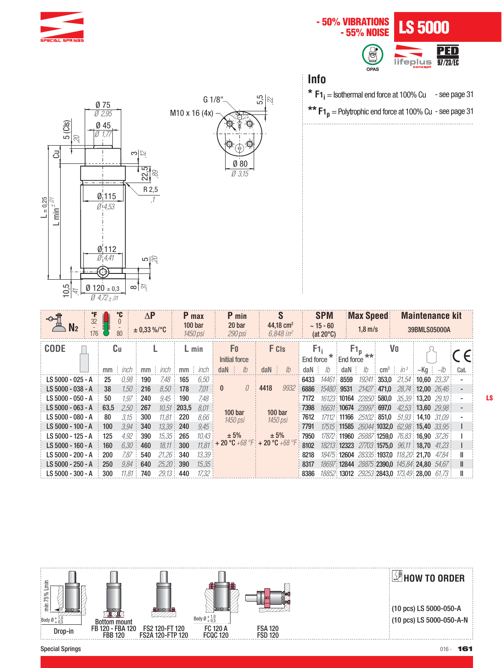

#### - 50% VIBRATIONS LS 5000 - 55% NOISE <u>PED</u>  $\frac{1}{\sqrt{2}}$ lifeplus 97/23/EC

### **Info**

- $*$  **F1**<sub>i</sub> = Isothermal end force at 100% Cu see page 31
- **\*\* F1p** <sup>=</sup> Polytrophic end force at 100% Cu see page 31





| °F<br>$\rightarrow$<br>32<br>176 |      | °C        | $\Delta P$<br>$± 0,33\%$ /°C |           |       | P max<br>100 <sub>bar</sub><br>1450 psi | P min<br>20 bar<br>290 psi        | S<br>44.18 $cm2$<br>$6.848$ in <sup>2</sup> | <b>SPM</b><br>$~15 - 60$<br>(at $20^{\circ}$ C) |              |                  | <b>Max Speed</b><br>$1.8$ m/s               |                    | <b>Maintenance kit</b><br>39BMLS05000A |                              |           |      |
|----------------------------------|------|-----------|------------------------------|-----------|-------|-----------------------------------------|-----------------------------------|---------------------------------------------|-------------------------------------------------|--------------|------------------|---------------------------------------------|--------------------|----------------------------------------|------------------------------|-----------|------|
| <b>CODE</b>                      | Сu   |           |                              |           |       | $L$ min                                 | F <sub>0</sub><br>Initial force   | F C <sub>IS</sub>                           | End force                                       | F1,          | <b>End force</b> | F1 <sub>p</sub>                             |                    | Vo                                     |                              |           |      |
|                                  | mm   | inch      | mm                           | inch      | mm    | inch                                    | $d$ aN<br>Ib<br>÷                 | $l$<br>daN                                  | daN                                             | $\mathbb{I}$ | daN              | lb                                          | $\rm cm^3$         | $in^3$                                 | $\sim$ Kg :                  | $\sim$ Ib | Cat. |
| LS 5000 - 025 - A                | 25   | 0.98      | 190                          | 7,48      | 165   | 6.50                                    |                                   |                                             | 6433                                            |              | 14461 8559       |                                             | <i>19241</i> 353.0 |                                        | 21.54 10.60                  | 23.37     |      |
| LS 5000 - 038 - A                | 38   | 1.50      | 216                          | 8.50      | 178   | 7.01                                    | $\theta$<br>$\bf{0}$              | 4418<br>9932                                | 6886                                            |              | 15480 9531       | 21427 471,0                                 |                    |                                        | 28.74 12.00 26.46            |           |      |
| LS 5000 - 050 - A                | 50   | 1.97      | 240                          | 9.45      | 190   | 7.48                                    |                                   |                                             | 7172                                            |              |                  | 16123 10164 22850 580,0                     |                    |                                        | $35.39 \, \,$ 13.20          | 29.10     |      |
| LS 5000 - 063 - A                | 63.5 | 2.50      | 267                          | 10.51     | 203.5 | 8.01                                    | 100 <sub>bar</sub>                | 100 <sub>bar</sub>                          | 7398                                            |              |                  | 16631 10674 23997 697.0                     |                    |                                        | 42.53 13.60 29.98            |           |      |
| LS 5000 - 080 - A                | 80   | 3.15      | 300                          | 11.81     | 220   | 8,66                                    | 1450 psi                          | 1450 psi                                    | 7612                                            |              |                  | 17112 11166 25102 851.0                     |                    |                                        | $51.93$ <b>14.10</b> $31.09$ |           |      |
| LS 5000 - 100 - A                | 100  | 3.94      | 340                          | 13.39 240 |       | 9.45                                    |                                   |                                             | 7791                                            |              |                  | 17515 11585 26044 1032.0 62.98 15.40 33.95  |                    |                                        |                              |           |      |
| LS 5000 - 125 - A                | 125  | 4.92      | 390                          | 15.35     | 265   | 10.43                                   | ± 5%                              | ± 5%                                        | 7950                                            |              |                  | 17872 11960 26887 1259,0                    |                    |                                        | 76.83 16,90                  | 37.26     |      |
| LS 5000 - 160 - A                | 160  | 6.30      | 460                          | 18.11 300 |       | 11.81                                   | $+ 20 °C + 68 °F + 20 °C + 68 °F$ |                                             | 8102                                            |              |                  | 18213 12323 27703 1575,0 96,11 18,70        |                    |                                        |                              | 41.23     |      |
| LS 5000 - 200 - A                | 200  | 7.87      | 540                          | 21.26 340 |       | 13,39                                   |                                   |                                             | 8218                                            |              |                  | 18475 12604 28335 1937,0 118,20 21,70       |                    |                                        |                              | 47.84     |      |
| LS 5000 - 250 - A                | 250  | 9.84      | 640                          | 25.20     | 390   | 15,35                                   |                                   |                                             | 8317                                            |              |                  | 18697 12844 28875 2390,0 145,84 24,80 54,67 |                    |                                        |                              |           |      |
| LS 5000 - 300 - A                | 300  | $11.81$ : | 740                          | 29.13 440 |       | 17.32                                   |                                   |                                             | 8386                                            |              |                  | 18852 13012 29253 2843,0 173,49 28,00 61,73 |                    |                                        |                              |           |      |

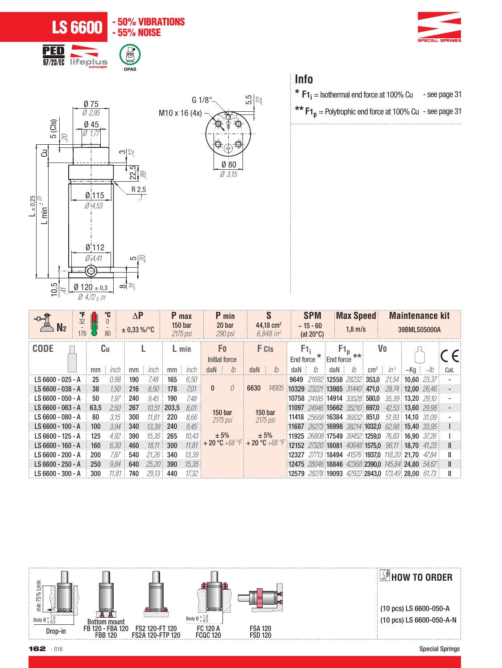





| * $F1_i$ = Isothermal end force at 100% Cu                 | - see page 31 |
|------------------------------------------------------------|---------------|
| ** $F1_n$ = Polytrophic end force at 100% Cu - see page 31 |               |



Ø 80 G 1/8" M10 x 16 (4x)  $\frac{5}{2}$ م Ø 3,15

| ⊸<br>N <sub>2</sub> | 32<br>176 | lillian          | °C<br>80    | $\Delta P$<br>$\pm$ 0.33 %/°C |                                   | 150 <sub>bar</sub><br>2175 psi |       |                                        |               |                                   |           | P max                                                                                        |                  |          | P min<br>20 bar<br>290 psi | 44.18 $cm2$<br>$6.848$ in <sup>2</sup> |             | <b>SPM</b><br>$~15 - 60$<br>(at $20^{\circ}$ C) |      | <b>Max Speed</b><br>$1.8$ m/s |  |  | <b>Maintenance kit</b><br>39BMLS05000A |  |  |  |
|---------------------|-----------|------------------|-------------|-------------------------------|-----------------------------------|--------------------------------|-------|----------------------------------------|---------------|-----------------------------------|-----------|----------------------------------------------------------------------------------------------|------------------|----------|----------------------------|----------------------------------------|-------------|-------------------------------------------------|------|-------------------------------|--|--|----------------------------------------|--|--|--|
| <b>CODE</b>         |           | Cu               |             |                               |                                   | L min                          |       | F <sub>0</sub><br><b>Initial force</b> |               | F C <sub>Is</sub>                 | End force | F1,                                                                                          | <b>End force</b> | $F1_{n}$ |                            | Vo                                     |             |                                                 |      |                               |  |  |                                        |  |  |  |
|                     |           | mm               |             |                               | <i>inch</i> <b>mm</b> <i>inch</i> | mm                             | inch  | daN<br>-1                              | $\mathcal{L}$ | $d$ aN :<br>$\mathbb{I}$          | $d$ aN :  | lb                                                                                           | $d$ aN $\vdash$  | lb       | $cm3$ $in3$                |                                        | $\sim$ Kg i | $\sim$ Ib                                       | Cat. |                               |  |  |                                        |  |  |  |
| LS 6600 - 025 - A   |           | 25               | 0.98        | 190                           | 7.48                              | 165                            | 6.50  |                                        |               |                                   |           | 9649 21692 12558 28232 353.0 21.54 10.60 23.37                                               |                  |          |                            |                                        |             |                                                 |      |                               |  |  |                                        |  |  |  |
| LS 6600 - 038 - A   |           | 38               | $1.50 \pm$  | 216                           | 8.50                              | 178                            | 7.01  | $\bf{0}$                               | 0             | 6630<br>14905                     |           | 10329 23221 13985 31440 471.0 28.74 12.00 26.46                                              |                  |          |                            |                                        |             |                                                 |      |                               |  |  |                                        |  |  |  |
| LS 6600 - 050 - A   |           | 50               | 1.97:       | 240                           | 9.45                              | 190                            | 7.48  |                                        |               |                                   |           | 10758 24185 14914 33528 580,0 35.39 13,20 29.10                                              |                  |          |                            |                                        |             |                                                 |      |                               |  |  |                                        |  |  |  |
| LS 6600 - 063 - A   |           | 63.5             | 2,50        | 267                           | 10.51                             | 203,5                          | 8.01  | 150 <sub>bar</sub>                     |               | 150 bar                           |           | <b>11097</b> 24946 <b>15662</b> 35210 <b>697,0</b> 42,53 <b>13,60</b> 29,98                  |                  |          |                            |                                        |             |                                                 |      |                               |  |  |                                        |  |  |  |
| LS 6600 - 080 - A   |           | 80               | 3.15        | 300                           | 11,81                             | 220                            | 8,66  | 2175 psi                               |               | 2175 psi                          |           | <b>11418</b> $25668$ <b>16384</b> $36832$ <b>851,0</b> $51,93$ <b>14,10</b> $31,09$ <b>1</b> |                  |          |                            |                                        |             |                                                 |      |                               |  |  |                                        |  |  |  |
| LS 6600 - 100 - A   |           | 100 <sup>°</sup> | 3.94        | 340                           | 13.39 240                         |                                | 9.45  |                                        |               |                                   |           | $11687$ 26273 16998 38214 1032.0 62.98 15.40 33.95                                           |                  |          |                            |                                        |             |                                                 |      |                               |  |  |                                        |  |  |  |
| LS 6600 - 125 - A   |           | 125              | 4.92        | 390                           | 15.35                             | 265                            | 10.43 | $± 5\%$                                |               | ± 5%                              |           | <b>11925</b> 26808 <b>17549</b> 39452 <b>1259,0</b> 76.83 <b>16.90</b> 37.26                 |                  |          |                            |                                        |             |                                                 |      |                               |  |  |                                        |  |  |  |
| LS 6600 - 160 - A   |           | 160              | 6.30        | 460                           | 18.11                             | 300                            | 11.81 |                                        |               | $+ 20 °C + 68 °F + 20 °C + 68 °F$ |           | 12152 27320 18081 40648 1575,0 96,11 18,70 41,23                                             |                  |          |                            |                                        |             |                                                 | H.   |                               |  |  |                                        |  |  |  |
| LS 6600 - 200 - A   |           | 200              | 7.87        | 540                           | 21.26                             | 340                            | 13.39 |                                        |               |                                   |           | 12327 27713 18494 41576 1937,0 118,20 21,70 47,84                                            |                  |          |                            |                                        |             |                                                 | Ш    |                               |  |  |                                        |  |  |  |
| LS 6600 - 250 - A   |           | 250              | 9.84        | 640                           | 25.20                             | 390                            | 15.35 |                                        |               |                                   |           | 12475 28046 18846 42368 2390,0 145.84 24,80 54.67                                            |                  |          |                            |                                        |             |                                                 | H.   |                               |  |  |                                        |  |  |  |
| LS 6600 - 300 - A   |           | 300              | $11.81$ 740 |                               | 29.13                             | 440                            | 17.32 |                                        |               |                                   |           | 12579 28278 19093 42922 2843.0 173.49 28.00 61.73                                            |                  |          |                            |                                        |             |                                                 | Ш    |                               |  |  |                                        |  |  |  |

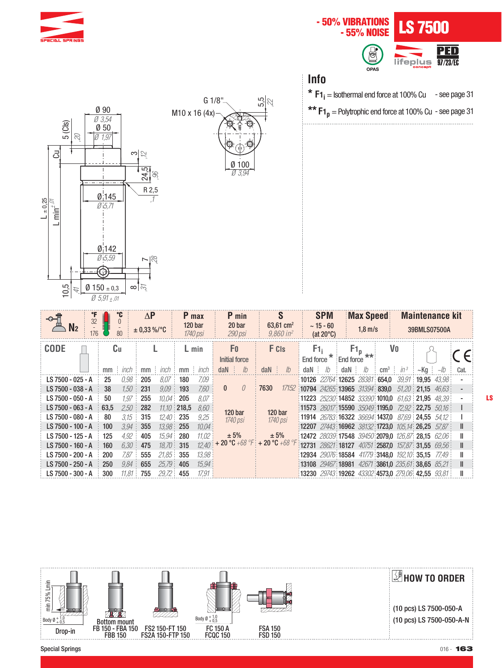

#### - 50% VIBRATIONS LS 7500 - 55% NOISE **PED**  $\frac{1}{\sqrt{2}}$ lifeplus 97/23/EC

## **Info**

- $*$  **F1**<sub>i</sub> = Isothermal end force at 100% Cu see page 31
- **\*\* F1p** <sup>=</sup> Polytrophic end force at 100% Cu see page 31





| °F<br>$\circ$<br>32 |      | °C<br>80  | $\Delta P$<br>$\pm$ 0.33 %/°C |             |                  | P max<br>120 <sub>bar</sub><br>1740 psi | P min<br>20 bar<br>290 psi      | S<br>63.61 $cm2$<br>$9,860$ in <sup>2</sup> |                                                                              | <b>SPM</b><br>$~15 - 60$<br>(at $20^{\circ}$ C) |                  |  | <b>Max Speed</b><br>$1,8$ m/s | <b>Maintenance kit</b><br>39BMLS07500A                                       |             |           |      |
|---------------------|------|-----------|-------------------------------|-------------|------------------|-----------------------------------------|---------------------------------|---------------------------------------------|------------------------------------------------------------------------------|-------------------------------------------------|------------------|--|-------------------------------|------------------------------------------------------------------------------|-------------|-----------|------|
| <b>CODE</b>         |      | Cu        |                               |             |                  | $L$ min                                 | F <sub>0</sub><br>Initial force | F C <sub>IS</sub><br>F1,<br>End force       |                                                                              | <b>End force</b>                                | $F1_p$           |  | Vo                            |                                                                              |             |           |      |
|                     | mm   | inch      |                               | $mm$ : inch |                  | $mm$ : inch                             | daN<br>Ib                       | I <sub>b</sub><br>daN                       | $d$ a $N$                                                                    | 1/b                                             | $daN$ / <i>b</i> |  | $cm3$ in <sup>3</sup>         |                                                                              | $\sim$ Kg i | $\sim$ Ib | Cat. |
| LS 7500 - 025 - A   | 25   | 0,98      | 205                           | 8.07        | 180              | 7,09                                    |                                 |                                             | $10126$ 22764 12625 28381 654,0                                              |                                                 |                  |  |                               | 39,91 19,95 43,98                                                            |             |           |      |
| LS 7500 - 038 - A   | 38   | 1.50      | 231                           | 9,09        | 193              | 7,60                                    | $\theta$<br>$\mathbf{0}$        | 7630<br>17152                               | $10794$ 24265 13965 31394 839,0 51,20 21,15 46,63                            |                                                 |                  |  |                               |                                                                              |             |           |      |
| LS 7500 - 050 - A   | 50   | 1.97      | 255                           | 10.04       | 205              | 8.07                                    |                                 |                                             |                                                                              |                                                 |                  |  |                               | <b>11223</b> 25230 <b>14852</b> 33390 <b>1010,0</b> 61.63 <b>21.95</b> 48.39 |             |           |      |
| LS 7500 - 063 - A   | 63.5 | 2.50      | 282                           |             | $11.10$ 218.5    | 8.60                                    | 120 <sub>bar</sub>              | 120 <sub>bar</sub>                          | <b>11573</b> 26017 <b>15590</b> 35049 <b>1195,0</b> 72,92 <b>22,75</b> 50,16 |                                                 |                  |  |                               |                                                                              |             |           |      |
| LS 7500 - 080 - A   | 80   | 3.15      | 315                           |             | $12.40 \div 235$ | 9.25                                    | 1740 psi                        | 1740 psi                                    |                                                                              |                                                 |                  |  |                               | $11914$ $26783$ 16322 36694 1437.0 87.69 24.55 54.12                         |             |           |      |
| LS 7500 - 100 - A   | 100  | 3.94      | 355                           | 13.98 255   |                  | 10.04                                   |                                 |                                             |                                                                              |                                                 |                  |  |                               | $12207$ 27443 16962 38132 1723,0 105,14 26,25 57,87                          |             |           |      |
| LS 7500 - 125 - A   | 125  | 4.92      | 405                           | 15.94       | 280              | 11.02                                   | ± 5%                            | ± 5%                                        | 12472 28039:17548 39450:2079,0 126,87: 28,15 62,06:                          |                                                 |                  |  |                               |                                                                              |             |           |      |
| LS 7500 - 160 - A   | 160  | 6.30      | 475                           | 18,70 315   |                  | 12.40                                   | $+20 °C +68 °F + 20 °C +68 °F$  |                                             |                                                                              |                                                 |                  |  |                               | $12731$ $28621$ $18127$ $40751$ $2587,0$ $157,87$ $31,55$ $69,56$            |             |           |      |
| LS 7500 - 200 - A   | 200  | 7.87      | 555                           | 21.85       | 355              | 13,98                                   |                                 |                                             |                                                                              |                                                 |                  |  |                               | 12934 29076 18584 41779 3148,0 192,10 35,15 77,49                            |             |           |      |
| LS 7500 - 250 - A   | 250  | 9.84      | 655                           | $25,79$ 405 |                  | 15.94                                   |                                 |                                             |                                                                              |                                                 |                  |  |                               | 13108 29467 18981 42671 3861,0 235,61 38,65 85,21                            |             |           |      |
| LS 7500 - 300 - A   | 300  | $11.81$ : | 755                           | 29.72 455   |                  | 17.91                                   |                                 |                                             | 13230 29743 19262 43302 4573,0 279,06 42,55 93,81                            |                                                 |                  |  |                               |                                                                              |             |           |      |